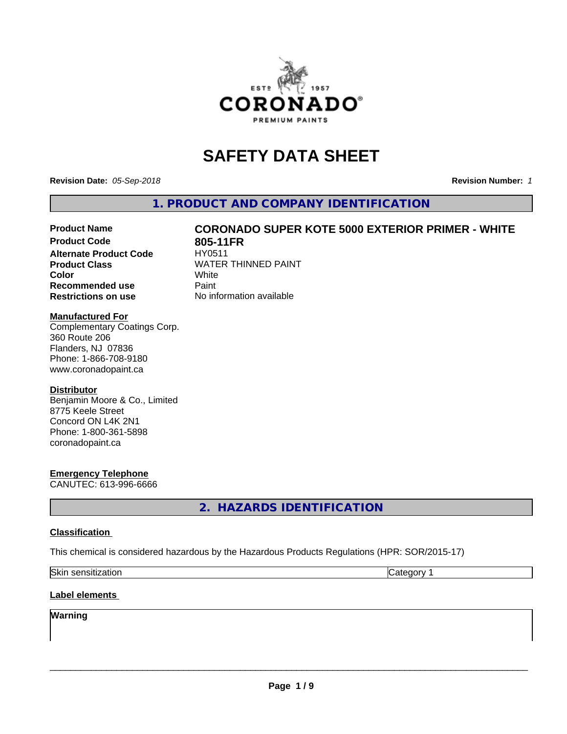

# **SAFETY DATA SHEET**

**Revision Date:** *05-Sep-2018* **Revision Number:** *1*

**1. PRODUCT AND COMPANY IDENTIFICATION**

# Product Name **CORONADO SUPER KOTE 5000 EXTERIOR PRIMER - WHITE**<br>Product Code 805-11FR

**Alternate Product Code Recommended use** Paint **Restrictions on use** No information available

**805-11FR**<br>HY0511 **Product Class** WATER THINNED PAINT<br>
Color **Color** White White

### **Manufactured For**

Complementary Coatings Corp. 360 Route 206 Flanders, NJ 07836 Phone: 1-866-708-9180 www.coronadopaint.ca

#### **Distributor**

Benjamin Moore & Co., Limited 8775 Keele Street Concord ON L4K 2N1 Phone: 1-800-361-5898 coronadopaint.ca

# **Emergency Telephone**

CANUTEC: 613-996-6666

**2. HAZARDS IDENTIFICATION**

#### **Classification**

This chemical is considered hazardous by the Hazardous Products Regulations (HPR: SOR/2015-17)

| <b>Skir</b><br>nsıtızatıon<br>. | .<br> |
|---------------------------------|-------|
|                                 |       |

# **Label elements**

# **Warning**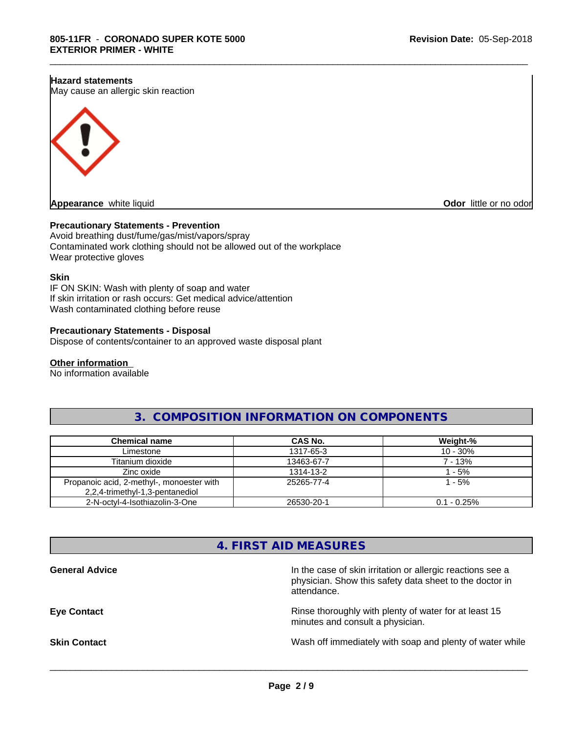#### **Hazard statements**

May cause an allergic skin reaction



**Appearance** white liquid **CODOR CONS CODOR CODOR CODOR CODOR CODOR CODOR CODOR CODOR CODOR CODOR CODOR CODOR CODOR CODOR CODOR CODOR CODOR CODOR CODOR CODOR CODOR CODOR CODO** 

#### **Precautionary Statements - Prevention**

Avoid breathing dust/fume/gas/mist/vapors/spray Contaminated work clothing should not be allowed out of the workplace Wear protective gloves

#### **Skin**

IF ON SKIN: Wash with plenty of soap and water If skin irritation or rash occurs: Get medical advice/attention Wash contaminated clothing before reuse

#### **Precautionary Statements - Disposal**

Dispose of contents/container to an approved waste disposal plant

#### **Other information**

No information available

# **3. COMPOSITION INFORMATION ON COMPONENTS**

\_\_\_\_\_\_\_\_\_\_\_\_\_\_\_\_\_\_\_\_\_\_\_\_\_\_\_\_\_\_\_\_\_\_\_\_\_\_\_\_\_\_\_\_\_\_\_\_\_\_\_\_\_\_\_\_\_\_\_\_\_\_\_\_\_\_\_\_\_\_\_\_\_\_\_\_\_\_\_\_\_\_\_\_\_\_\_\_\_\_\_\_\_

| Chemical name                                                                | CAS No.    | Weight-%       |
|------------------------------------------------------------------------------|------------|----------------|
| Limestone                                                                    | 1317-65-3  | $10 - 30%$     |
| Titanium dioxide                                                             | 13463-67-7 | 7 - 13%        |
| Zinc oxide                                                                   | 1314-13-2  | $-5\%$         |
| Propanoic acid, 2-methyl-, monoester with<br>2,2,4-trimethyl-1,3-pentanediol | 25265-77-4 | $1 - 5%$       |
| 2-N-octyl-4-Isothiazolin-3-One                                               | 26530-20-1 | $0.1 - 0.25\%$ |

# **4. FIRST AID MEASURES**

| <b>General Advice</b> | In the case of skin irritation or allergic reactions see a<br>physician. Show this safety data sheet to the doctor in<br>attendance. |
|-----------------------|--------------------------------------------------------------------------------------------------------------------------------------|
| <b>Eye Contact</b>    | Rinse thoroughly with plenty of water for at least 15<br>minutes and consult a physician.                                            |
| <b>Skin Contact</b>   | Wash off immediately with soap and plenty of water while                                                                             |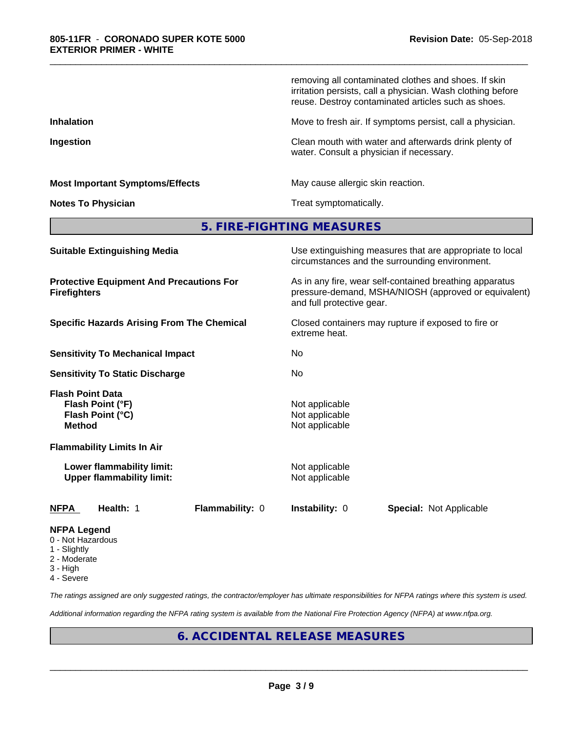|                                                                                  | removing all contaminated clothes and shoes. If skin<br>irritation persists, call a physician. Wash clothing before<br>reuse. Destroy contaminated articles such as shoes. |
|----------------------------------------------------------------------------------|----------------------------------------------------------------------------------------------------------------------------------------------------------------------------|
| <b>Inhalation</b>                                                                | Move to fresh air. If symptoms persist, call a physician.                                                                                                                  |
| Ingestion                                                                        | Clean mouth with water and afterwards drink plenty of<br>water. Consult a physician if necessary.                                                                          |
| <b>Most Important Symptoms/Effects</b>                                           | May cause allergic skin reaction.                                                                                                                                          |
| <b>Notes To Physician</b>                                                        | Treat symptomatically.                                                                                                                                                     |
|                                                                                  | 5. FIRE-FIGHTING MEASURES                                                                                                                                                  |
| <b>Suitable Extinguishing Media</b>                                              | Use extinguishing measures that are appropriate to local<br>circumstances and the surrounding environment.                                                                 |
| <b>Protective Equipment And Precautions For</b><br><b>Firefighters</b>           | As in any fire, wear self-contained breathing apparatus<br>pressure-demand, MSHA/NIOSH (approved or equivalent)<br>and full protective gear.                               |
| <b>Specific Hazards Arising From The Chemical</b>                                | Closed containers may rupture if exposed to fire or<br>extreme heat.                                                                                                       |
| <b>Sensitivity To Mechanical Impact</b>                                          | No                                                                                                                                                                         |
| <b>Sensitivity To Static Discharge</b>                                           | No                                                                                                                                                                         |
| <b>Flash Point Data</b><br>Flash Point (°F)<br>Flash Point (°C)<br><b>Method</b> | Not applicable<br>Not applicable<br>Not applicable                                                                                                                         |
| <b>Flammability Limits In Air</b>                                                |                                                                                                                                                                            |
| Lower flammability limit:<br><b>Upper flammability limit:</b>                    | Not applicable<br>Not applicable                                                                                                                                           |
| Health: 1<br>Flammability: 0<br>NFPA                                             | Instability: 0<br><b>Special: Not Applicable</b>                                                                                                                           |
|                                                                                  |                                                                                                                                                                            |

\_\_\_\_\_\_\_\_\_\_\_\_\_\_\_\_\_\_\_\_\_\_\_\_\_\_\_\_\_\_\_\_\_\_\_\_\_\_\_\_\_\_\_\_\_\_\_\_\_\_\_\_\_\_\_\_\_\_\_\_\_\_\_\_\_\_\_\_\_\_\_\_\_\_\_\_\_\_\_\_\_\_\_\_\_\_\_\_\_\_\_\_\_

# **NFPA Legend**

- 0 Not Hazardous
- 1 Slightly
- 2 Moderate
- 3 High
- 4 Severe

*The ratings assigned are only suggested ratings, the contractor/employer has ultimate responsibilities for NFPA ratings where this system is used.*

*Additional information regarding the NFPA rating system is available from the National Fire Protection Agency (NFPA) at www.nfpa.org.*

# **6. ACCIDENTAL RELEASE MEASURES**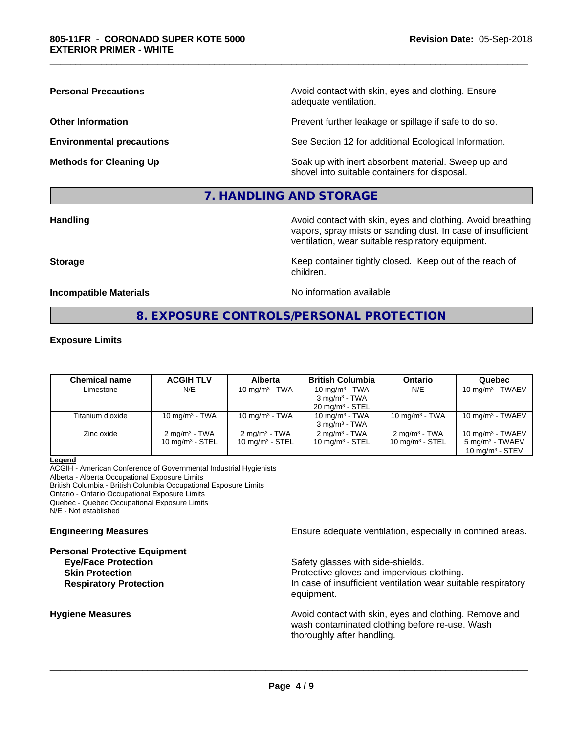**Personal Precautions Precautions** Avoid contact with skin, eyes and clothing. Ensure adequate ventilation.

**Other Information Other Information Prevent further leakage or spillage if safe to do so.** 

**Environmental precautions** See Section 12 for additional Ecological Information.

**Methods for Cleaning Up Example 20 All 20 All 20 All 20 Soak** up with inert absorbent material. Sweep up and shovel into suitable containers for disposal.

# **7. HANDLING AND STORAGE**

**Handling Handling Avoid contact with skin, eyes and clothing. Avoid breathing** vapors, spray mists or sanding dust. In case of insufficient ventilation, wear suitable respiratory equipment.

**Storage Keep container tightly closed. Keep out of the reach of Keep** container tightly closed. Keep out of the reach of children.

**Incompatible Materials No information available** 

\_\_\_\_\_\_\_\_\_\_\_\_\_\_\_\_\_\_\_\_\_\_\_\_\_\_\_\_\_\_\_\_\_\_\_\_\_\_\_\_\_\_\_\_\_\_\_\_\_\_\_\_\_\_\_\_\_\_\_\_\_\_\_\_\_\_\_\_\_\_\_\_\_\_\_\_\_\_\_\_\_\_\_\_\_\_\_\_\_\_\_\_\_

# **8. EXPOSURE CONTROLS/PERSONAL PROTECTION**

#### **Exposure Limits**

| <b>Chemical name</b> | <b>ACGIH TLV</b>           | <b>Alberta</b>             | <b>British Columbia</b>    | <b>Ontario</b>           | Quebec                                |
|----------------------|----------------------------|----------------------------|----------------------------|--------------------------|---------------------------------------|
| Limestone            | N/E                        | 10 mg/m $3$ - TWA          | 10 mg/m $3$ - TWA          | N/E                      | $10 \text{ mg/m}^3$ - TWAEV           |
|                      |                            |                            | $3 \text{ mg/m}^3$ - TWA   |                          |                                       |
|                      |                            |                            | $20 \text{ mg/m}^3$ - STEL |                          |                                       |
| Titanium dioxide     | 10 mg/m $3$ - TWA          | 10 mg/m $3$ - TWA          | 10 mg/m <sup>3</sup> - TWA | 10 mg/m $3$ - TWA        | 10 mg/m $3$ - TWAEV                   |
|                      |                            |                            | $3 \text{ mg/m}^3$ - TWA   |                          |                                       |
| Zinc oxide           | $2 \text{ mg/m}^3$ - TWA   | $2 \text{ mg/m}^3$ - TWA   | $2 \text{ mg/m}^3$ - TWA   | $2 \text{ mg/m}^3$ - TWA | 10 mg/m $3$ - TWAEV                   |
|                      | $10 \text{ mg/m}^3$ - STEL | $10 \text{ mg/m}^3$ - STEL | 10 mg/m $3 -$ STEL         | 10 mg/m $3$ - STEL       | 5 mg/m <sup>3</sup> - TWAEV           |
|                      |                            |                            |                            |                          | $10 \text{ mg/m}$ <sup>3</sup> - STEV |

#### **Legend**

ACGIH - American Conference of Governmental Industrial Hygienists Alberta - Alberta Occupational Exposure Limits

British Columbia - British Columbia Occupational Exposure Limits

Ontario - Ontario Occupational Exposure Limits

Quebec - Quebec Occupational Exposure Limits

N/E - Not established

## **Personal Protective Equipment**

**Engineering Measures Ensure** Ensure adequate ventilation, especially in confined areas.

**Eye/Face Protection Safety glasses with side-shields.** 

 $\overline{\phantom{a}}$  ,  $\overline{\phantom{a}}$  ,  $\overline{\phantom{a}}$  ,  $\overline{\phantom{a}}$  ,  $\overline{\phantom{a}}$  ,  $\overline{\phantom{a}}$  ,  $\overline{\phantom{a}}$  ,  $\overline{\phantom{a}}$  ,  $\overline{\phantom{a}}$  ,  $\overline{\phantom{a}}$  ,  $\overline{\phantom{a}}$  ,  $\overline{\phantom{a}}$  ,  $\overline{\phantom{a}}$  ,  $\overline{\phantom{a}}$  ,  $\overline{\phantom{a}}$  ,  $\overline{\phantom{a}}$ 

**Skin Protection Protection Protective gloves and impervious clothing. Respiratory Protection In case of insufficient ventilation wear suitable respiratory** equipment.

**Hygiene Measures Avoid contact with skin, eyes and clothing. Remove and Avoid contact with skin, eyes and clothing. Remove and Avoid contact with skin, eyes and clothing. Remove and** wash contaminated clothing before re-use. Wash thoroughly after handling.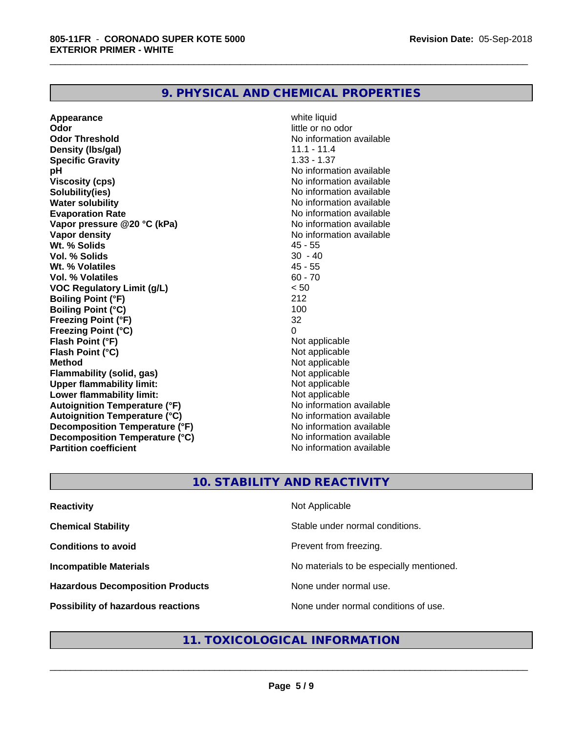# **9. PHYSICAL AND CHEMICAL PROPERTIES**

**Appearance** white liquid<br> **Odor** little or no o **Odor Threshold** No information available **Density (lbs/gal)** 11.1 - 11.4<br> **Specific Gravity** 1.33 - 1.37 **Specific Gravity pH** No information available **Viscosity (cps)** No information available **Solubility(ies)** No information available **Water solubility Mater Solubility**<br> **Evaporation Rate** Mate No information available **Vapor** pressure @20 °C (kPa) **Vapor density**<br> **We Solids**<br>
We Solids
2018 **Wt. % Solids** 45 - 55<br> **Vol. % Solids** 30 - 40 **Vol. % Solids Wt. % Volatiles** 45 - 55 **Vol. % Volatiles VOC Regulatory Limit (g/L)** < 50 **Boiling Point (°F)** 212 **Boiling Point (°C) Freezing Point (°F)** 32 **Freezing Point (°C)**<br> **Flash Point (°F)**<br> **Flash Point (°F)**<br> **Point (°F) Flash Point (°F)**<br> **Flash Point (°C)**<br> **Flash Point (°C)**<br> **C Flash Point (°C) Method**<br> **Flammability (solid. gas)**<br> **Commability (solid. gas)**<br> **Not** applicable **Flammability (solid, gas)** Not applicable<br> **Upper flammability limit:** Not applicable **Upper flammability limit:**<br> **Lower flammability limit:** Not applicable Not applicable **Lower flammability limit:**<br> **Autoignition Temperature (°F)** Not applicable havailable **Autoignition Temperature (°F) Autoignition Temperature (°C)** No information available **Decomposition Temperature (°F)**<br> **Decomposition Temperature (°C)** No information available **Decomposition Temperature (°C)**<br>Partition coefficient

**Odor** little or no odor No information available<br>No information available **No information available** 

\_\_\_\_\_\_\_\_\_\_\_\_\_\_\_\_\_\_\_\_\_\_\_\_\_\_\_\_\_\_\_\_\_\_\_\_\_\_\_\_\_\_\_\_\_\_\_\_\_\_\_\_\_\_\_\_\_\_\_\_\_\_\_\_\_\_\_\_\_\_\_\_\_\_\_\_\_\_\_\_\_\_\_\_\_\_\_\_\_\_\_\_\_

# **10. STABILITY AND REACTIVITY**

| <b>Reactivity</b>                       | Not Applicable                           |
|-----------------------------------------|------------------------------------------|
| <b>Chemical Stability</b>               | Stable under normal conditions.          |
| <b>Conditions to avoid</b>              | Prevent from freezing.                   |
| <b>Incompatible Materials</b>           | No materials to be especially mentioned. |
| <b>Hazardous Decomposition Products</b> | None under normal use.                   |
| Possibility of hazardous reactions      | None under normal conditions of use.     |

# **11. TOXICOLOGICAL INFORMATION**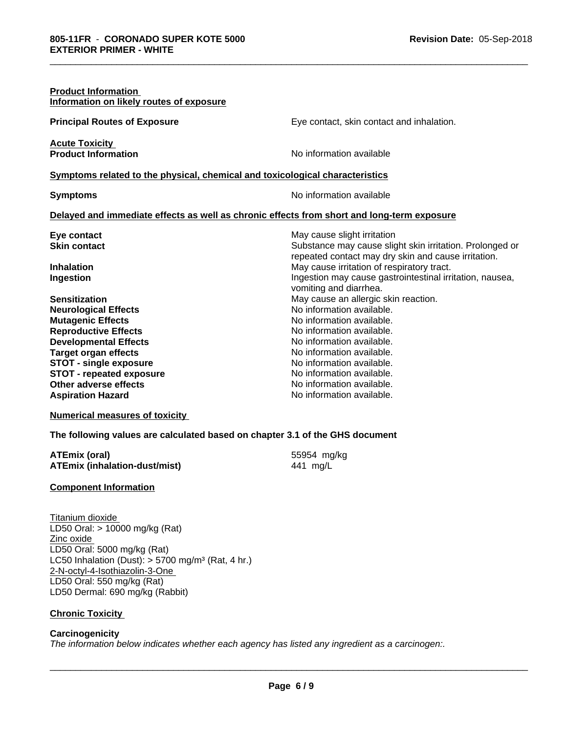| <b>Product Information</b><br>Information on likely routes of exposure                     |                                                                   |  |  |
|--------------------------------------------------------------------------------------------|-------------------------------------------------------------------|--|--|
| <b>Principal Routes of Exposure</b>                                                        | Eye contact, skin contact and inhalation.                         |  |  |
| <b>Acute Toxicity</b><br><b>Product Information</b>                                        | No information available                                          |  |  |
| Symptoms related to the physical, chemical and toxicological characteristics               |                                                                   |  |  |
| <b>Symptoms</b>                                                                            | No information available                                          |  |  |
| Delayed and immediate effects as well as chronic effects from short and long-term exposure |                                                                   |  |  |
| Eye contact                                                                                | May cause slight irritation                                       |  |  |
| <b>Skin contact</b>                                                                        | Substance may cause slight skin irritation. Prolonged or          |  |  |
|                                                                                            | repeated contact may dry skin and cause irritation.               |  |  |
| <b>Inhalation</b>                                                                          | May cause irritation of respiratory tract.                        |  |  |
| Ingestion                                                                                  | Ingestion may cause gastrointestinal irritation, nausea,          |  |  |
| <b>Sensitization</b>                                                                       | vomiting and diarrhea.                                            |  |  |
| <b>Neurological Effects</b>                                                                | May cause an allergic skin reaction.<br>No information available. |  |  |
| <b>Mutagenic Effects</b>                                                                   | No information available.                                         |  |  |
| <b>Reproductive Effects</b>                                                                | No information available.                                         |  |  |
| <b>Developmental Effects</b>                                                               | No information available.                                         |  |  |
| <b>Target organ effects</b>                                                                | No information available.                                         |  |  |
| <b>STOT - single exposure</b>                                                              | No information available.                                         |  |  |
| <b>STOT - repeated exposure</b>                                                            | No information available.                                         |  |  |
| Other adverse effects                                                                      | No information available.                                         |  |  |
| <b>Aspiration Hazard</b>                                                                   | No information available.                                         |  |  |

\_\_\_\_\_\_\_\_\_\_\_\_\_\_\_\_\_\_\_\_\_\_\_\_\_\_\_\_\_\_\_\_\_\_\_\_\_\_\_\_\_\_\_\_\_\_\_\_\_\_\_\_\_\_\_\_\_\_\_\_\_\_\_\_\_\_\_\_\_\_\_\_\_\_\_\_\_\_\_\_\_\_\_\_\_\_\_\_\_\_\_\_\_

**Numerical measures of toxicity**

**The following values are calculated based on chapter 3.1 of the GHS document**

| <b>ATEmix (oral)</b>                 | 55954 mg/kg |
|--------------------------------------|-------------|
| <b>ATEmix (inhalation-dust/mist)</b> | 441 mg/L    |

**ATEmix (oral)** 55954 mg/kg

**Component Information**

Titanium dioxide LD50 Oral: > 10000 mg/kg (Rat) Zinc oxide LD50 Oral: 5000 mg/kg (Rat) LC50 Inhalation (Dust):  $> 5700$  mg/m<sup>3</sup> (Rat, 4 hr.) 2-N-octyl-4-Isothiazolin-3-One LD50 Oral: 550 mg/kg (Rat) LD50 Dermal: 690 mg/kg (Rabbit)

# **Chronic Toxicity**

# **Carcinogenicity**

*The information below indicateswhether each agency has listed any ingredient as a carcinogen:.*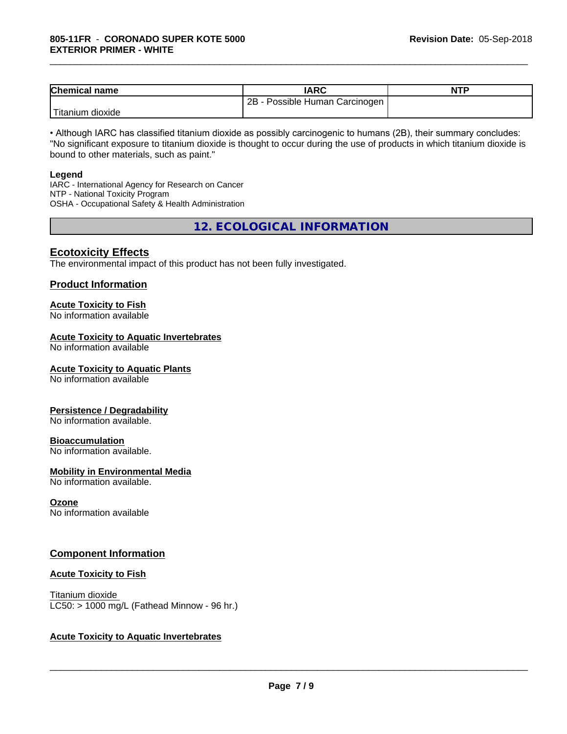| <b>Chemical name</b>         | <b>IARC</b>                             | <b>NTP</b> |
|------------------------------|-----------------------------------------|------------|
|                              | 2B<br>Human<br>∖ Carcinoɑen<br>Possible |            |
| l Tit<br>dioxide<br>⊺ıtanıum |                                         |            |

\_\_\_\_\_\_\_\_\_\_\_\_\_\_\_\_\_\_\_\_\_\_\_\_\_\_\_\_\_\_\_\_\_\_\_\_\_\_\_\_\_\_\_\_\_\_\_\_\_\_\_\_\_\_\_\_\_\_\_\_\_\_\_\_\_\_\_\_\_\_\_\_\_\_\_\_\_\_\_\_\_\_\_\_\_\_\_\_\_\_\_\_\_

• Although IARC has classified titanium dioxide as possibly carcinogenic to humans (2B), their summary concludes: "No significant exposure to titanium dioxide is thought to occur during the use of products in which titanium dioxide is bound to other materials, such as paint."

#### **Legend**

IARC - International Agency for Research on Cancer NTP - National Toxicity Program OSHA - Occupational Safety & Health Administration

**12. ECOLOGICAL INFORMATION**

# **Ecotoxicity Effects**

The environmental impact of this product has not been fully investigated.

### **Product Information**

# **Acute Toxicity to Fish**

No information available

# **Acute Toxicity to Aquatic Invertebrates**

No information available

#### **Acute Toxicity to Aquatic Plants**

No information available

#### **Persistence / Degradability**

No information available.

#### **Bioaccumulation**

No information available.

#### **Mobility in Environmental Media**

No information available.

#### **Ozone**

No information available

# **Component Information**

#### **Acute Toxicity to Fish**

Titanium dioxide  $LC50:$  > 1000 mg/L (Fathead Minnow - 96 hr.)

# **Acute Toxicity to Aquatic Invertebrates**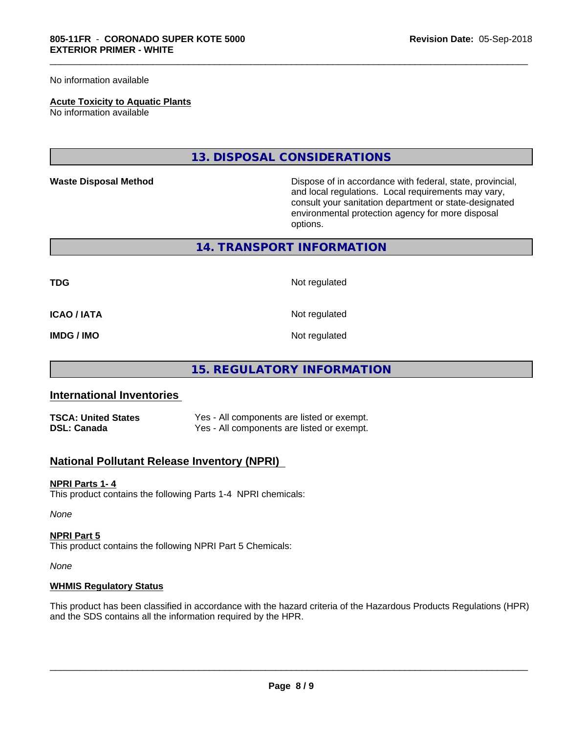No information available

#### **Acute Toxicity to Aquatic Plants**

No information available

# **13. DISPOSAL CONSIDERATIONS**

**Waste Disposal Method** Dispose of in accordance with federal, state, provincial, and local regulations. Local requirements may vary, consult your sanitation department or state-designated environmental protection agency for more disposal options.

#### **14. TRANSPORT INFORMATION**

**TDG** Not regulated

\_\_\_\_\_\_\_\_\_\_\_\_\_\_\_\_\_\_\_\_\_\_\_\_\_\_\_\_\_\_\_\_\_\_\_\_\_\_\_\_\_\_\_\_\_\_\_\_\_\_\_\_\_\_\_\_\_\_\_\_\_\_\_\_\_\_\_\_\_\_\_\_\_\_\_\_\_\_\_\_\_\_\_\_\_\_\_\_\_\_\_\_\_

**ICAO / IATA** Not regulated

**IMDG / IMO** Not regulated

# **15. REGULATORY INFORMATION**

# **International Inventories**

| <b>TSCA: United States</b> | Yes - All components are listed or exempt. |
|----------------------------|--------------------------------------------|
| <b>DSL: Canada</b>         | Yes - All components are listed or exempt. |

# **National Pollutant Release Inventory (NPRI)**

## **NPRI Parts 1- 4**

This product contains the following Parts 1-4 NPRI chemicals:

*None*

#### **NPRI Part 5**

This product contains the following NPRI Part 5 Chemicals:

*None*

#### **WHMIS Regulatory Status**

This product has been classified in accordance with the hazard criteria of the Hazardous Products Regulations (HPR) and the SDS contains all the information required by the HPR.